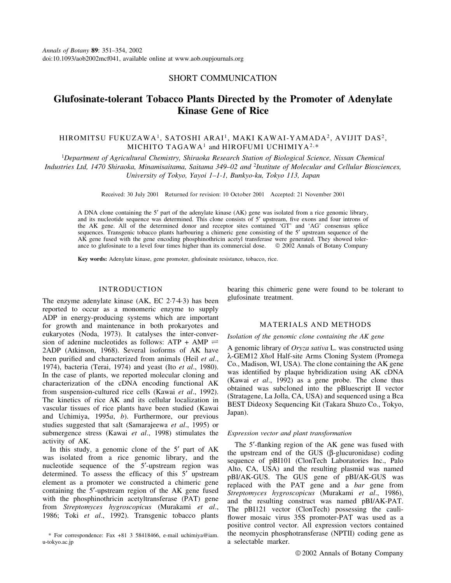## SHORT COMMUNICATION

# Glufosinate-tolerant Tobacco Plants Directed by the Promoter of Adenylate Kinase Gene of Rice

## HIROMITSU FUKUZAWA<sup>1</sup>, SATOSHI ARAI<sup>1</sup>, MAKI KAWAI-YAMADA<sup>2</sup>, AVIJIT DAS<sup>2</sup>, MICHITO TAGAWA<sup>1</sup> and HIROFUMI UCHIMIYA<sup>2,\*</sup>

<sup>1</sup>Department of Agricultural Chemistry, Shiraoka Research Station of Biological Science, Nissan Chemical Industries Ltd, 1470 Shiraoka, Minamisaitama, Saitama 349-02 and <sup>2</sup>Institute of Molecular and Cellular Biosciences, University of Tokyo, Yayoi 1-1-1, Bunkyo-ku, Tokyo 113, Japan

Received: 30 July 2001 Returned for revision: 10 October 2001 Accepted: 21 November 2001

A DNA clone containing the 5¢ part of the adenylate kinase (AK) gene was isolated from a rice genomic library, and its nucleotide sequence was determined. This clone consists of 5' upstream, five exons and four introns of the AK gene. All of the determined donor and receptor sites contained `GT' and `AG' consensus splice sequences. Transgenic tobacco plants harbouring a chimeric gene consisting of the 5<sup>*'*</sup> upstream sequence of the AK gene fused with the gene encoding phosphinothricin acetyl transferase were generated. They showed tolerance to glufosinate to a level four times higher than its commercial dose.  $\oslash$  2002 Annals of Botany Company

Key words: Adenylate kinase, gene promoter, glufosinate resistance, tobacco, rice.

#### INTRODUCTION

The enzyme adenylate kinase  $(AK, EC 2.7.4.3)$  has been reported to occur as a monomeric enzyme to supply ADP in energy-producing systems which are important for growth and maintenance in both prokaryotes and eukaryotes (Noda, 1973). It catalyses the inter-conversion of adenine nucleotides as follows: ATP + AMP  $\rightleftharpoons$ 2ADP (Atkinson, 1968). Several isoforms of AK have been purified and characterized from animals (Heil et al., 1974), bacteria (Terai, 1974) and yeast (Ito et al., 1980). In the case of plants, we reported molecular cloning and characterization of the cDNA encoding functional AK from suspension-cultured rice cells (Kawai et al., 1992). The kinetics of rice AK and its cellular localization in vascular tissues of rice plants have been studied (Kawai and Uchimiya, 1995a, b). Furthermore, our previous studies suggested that salt (Samarajeewa et al., 1995) or submergence stress (Kawai et al., 1998) stimulates the activity of AK.

In this study, a genomic clone of the  $5'$  part of AK was isolated from a rice genomic library, and the nucleotide sequence of the 5'-upstream region was determined. To assess the efficacy of this  $5'$  upstream element as a promoter we constructed a chimeric gene containing the 5<sup>'</sup>-upstream region of the AK gene fused with the phosphinothricin acetyltransferase (PAT) gene from Streptomyces hygroscopicus (Murakami et al., 1986; Toki et al., 1992). Transgenic tobacco plants

\* For correspondence: Fax +81 3 58418466, e-mail uchimiya@iam. u-tokyo.ac.jp

bearing this chimeric gene were found to be tolerant to glufosinate treatment.

#### MATERIALS AND METHODS

Isolation of the genomic clone containing the AK gene

A genomic library of Oryza sativa L. was constructed using l-GEM12 XhoI Half-site Arms Cloning System (Promega Co., Madison, WI, USA). The clone containing the AK gene was identified by plaque hybridization using AK cDNA (Kawai et al., 1992) as a gene probe. The clone thus obtained was subcloned into the pBluescript II vector (Stratagene, La Jolla, CA, USA) and sequenced using a Bca BEST Dideoxy Sequencing Kit (Takara Shuzo Co., Tokyo, Japan).

#### Expression vector and plant transformation

The  $5'$ -flanking region of the AK gene was fused with the upstream end of the GUS ( $\beta$ -glucuronidase) coding sequence of pBI101 (ClonTech Laboratories Inc., Palo Alto, CA, USA) and the resulting plasmid was named pBI/AK-GUS. The GUS gene of pBI/AK-GUS was replaced with the PAT gene and a bar gene from Streptomyces hygroscopicus (Murakami et al., 1986), and the resulting construct was named pBI/AK-PAT. The pBI121 vector (ClonTech) possessing the cauli flower mosaic virus 35S promoter-PAT was used as a positive control vector. All expression vectors contained the neomycin phosphotransferase (NPTII) coding gene as a selectable marker.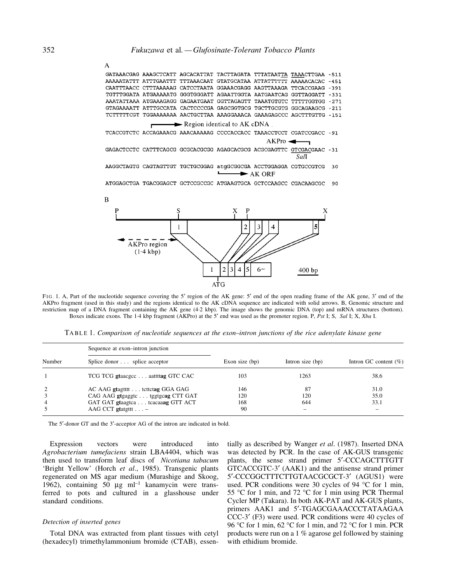|                                                |  |       |  |  | $-451$                                                                                                                                                                                                                                                                                                                                                                                                                                                                                                                                                                                                                                                                                                                                                                                                                |  |  |  |
|------------------------------------------------|--|-------|--|--|-----------------------------------------------------------------------------------------------------------------------------------------------------------------------------------------------------------------------------------------------------------------------------------------------------------------------------------------------------------------------------------------------------------------------------------------------------------------------------------------------------------------------------------------------------------------------------------------------------------------------------------------------------------------------------------------------------------------------------------------------------------------------------------------------------------------------|--|--|--|
|                                                |  |       |  |  | $-291$                                                                                                                                                                                                                                                                                                                                                                                                                                                                                                                                                                                                                                                                                                                                                                                                                |  |  |  |
|                                                |  |       |  |  | $-331$                                                                                                                                                                                                                                                                                                                                                                                                                                                                                                                                                                                                                                                                                                                                                                                                                |  |  |  |
|                                                |  |       |  |  | $-271$                                                                                                                                                                                                                                                                                                                                                                                                                                                                                                                                                                                                                                                                                                                                                                                                                |  |  |  |
|                                                |  |       |  |  |                                                                                                                                                                                                                                                                                                                                                                                                                                                                                                                                                                                                                                                                                                                                                                                                                       |  |  |  |
|                                                |  |       |  |  |                                                                                                                                                                                                                                                                                                                                                                                                                                                                                                                                                                                                                                                                                                                                                                                                                       |  |  |  |
| $\longrightarrow$ Region identical to AK cDNA. |  |       |  |  |                                                                                                                                                                                                                                                                                                                                                                                                                                                                                                                                                                                                                                                                                                                                                                                                                       |  |  |  |
|                                                |  |       |  |  |                                                                                                                                                                                                                                                                                                                                                                                                                                                                                                                                                                                                                                                                                                                                                                                                                       |  |  |  |
|                                                |  | AKPro |  |  |                                                                                                                                                                                                                                                                                                                                                                                                                                                                                                                                                                                                                                                                                                                                                                                                                       |  |  |  |
|                                                |  |       |  |  |                                                                                                                                                                                                                                                                                                                                                                                                                                                                                                                                                                                                                                                                                                                                                                                                                       |  |  |  |
|                                                |  |       |  |  |                                                                                                                                                                                                                                                                                                                                                                                                                                                                                                                                                                                                                                                                                                                                                                                                                       |  |  |  |
|                                                |  |       |  |  |                                                                                                                                                                                                                                                                                                                                                                                                                                                                                                                                                                                                                                                                                                                                                                                                                       |  |  |  |
| $\longrightarrow$ AK ORE                       |  |       |  |  |                                                                                                                                                                                                                                                                                                                                                                                                                                                                                                                                                                                                                                                                                                                                                                                                                       |  |  |  |
|                                                |  |       |  |  | 90                                                                                                                                                                                                                                                                                                                                                                                                                                                                                                                                                                                                                                                                                                                                                                                                                    |  |  |  |
|                                                |  |       |  |  | GATAAACGAG AAAGCTCATT AGCACATTAT TACTTAGATA TTTATAATTA TAAACTTGAA -511<br>AAAAATATTT ATTTGAATTT TTTAAACAAT GTATGCATAA ATTATTTTTT AAAAACACAC<br>CAATTTAACC CTTTAAAAAG CATCCTAATA GGAAACGAGG AAGTTAAAGA TTCACCGAAG<br>TGTTTGGATA ATGAAAAATG GGGTGGGATT AGAATTGGTA AATGAATCAG GGTTAGGATT<br>AAATATTAAA ATGAAAGAGG GAGAATGAAT GGTTAGAGTT TAAATGTGTC TTTTTGGTGG<br>GTAGAAAATT ATTTGCCATA CACTCCCCGA GAGCGGTGCG TGCTTGCGTG GGCAGAAGCG -211<br>TCTTTTTCGT TGGAAAAAAA AACTGCTTAA AAAGGAAACA GAAAGAGCCC AGCTTTGTTG -151<br>TCACCGTCTC ACCAGAAACG AAACAAAAAG CCCCACCACC TAAACCTCCT CGATCCGACC -91<br>GAGACTCCTC CATTTCAGCG GCGCACGCGG AGAGCACGCG ACGCGAGTTC GTCGACGAAC -31<br>Sall<br>AAGGCTAGTG CAGTAGTTGT TGCTGCGGAG atqGCGGCGA ACCTGGAGGA CGTGCCGTCG 30<br>ATGGAGCTGA TGACGGAGCT GCTCCGCCGC ATGAAGTGCA GCTCCAAGCC CGACAAGCGC |  |  |  |



FIG. 1. A, Part of the nucleotide sequence covering the 5' region of the AK gene: 5' end of the open reading frame of the AK gene, 3' end of the AKPro fragment (used in this study) and the regions identical to the AK cDNA sequence are indicated with solid arrows. B, Genomic structure and restriction map of a DNA fragment containing the AK gene (4´2 kbp). The image shows the genomic DNA (top) and mRNA structures (bottom). Boxes indicate exons. The 1<sup>.4</sup> kbp fragment (AKPro) at the 5' end was used as the promoter region. P, Pst I; S, Sal I; X, Xba I.

TABLE 1. Comparison of nucleotide sequences at the exon-intron junctions of the rice adenylate kinase gene

|                | Sequence at exon-intron junction  |                  |                    | Intron GC content $(\% )$ |  |
|----------------|-----------------------------------|------------------|--------------------|---------------------------|--|
| Number         | Splice donor splice acceptor      | Exon size $(bp)$ | Intron size $(bp)$ |                           |  |
|                | TCG TCG gtaacgcc aattitag GTC CAC | 103              | 1263               | 38.6                      |  |
| 2              | AC AAG gtagtttt tettetag GGA GAG  | 146              | 87                 | 31.0                      |  |
| 3              | CAG AAG gtgaggtc tggtgcag CTT GAT | 120              | 120                | 35.0                      |  |
| $\overline{4}$ | GAT GAT gtaagtea teacaaag GTT ACT | 168              | 644                | 33.1                      |  |
|                | AAG CCT gtatgttt $\ldots$ –       | 90               | -                  |                           |  |

The 5'-donor GT and the 3'-acceptor AG of the intron are indicated in bold.

Expression vectors were introduced into Agrobacterium tumefaciens strain LBA4404, which was then used to transform leaf discs of Nicotiana tabacum 'Bright Yellow' (Horch et al., 1985). Transgenic plants regenerated on MS agar medium (Murashige and Skoog, 1962), containing 50  $\mu$ g ml<sup>-1</sup> kanamycin were transferred to pots and cultured in a glasshouse under standard conditions.

#### Detection of inserted genes

Total DNA was extracted from plant tissues with cetyl (hexadecyl) trimethylammonium bromide (CTAB), essentially as described by Wanger et al. (1987). Inserted DNA was detected by PCR. In the case of AK-GUS transgenic plants, the sense strand primer 5¢-CCCAGCTTTGTT GTCACCGTC-3' (AAK1) and the antisense strand primer 5¢-CCCGGCTTTCTTGTAACGCGCT-3¢ (AGUS1) were used. PCR conditions were 30 cycles of 94 °C for 1 min, 55 °C for 1 min, and 72 °C for 1 min using PCR Thermal Cycler MP (Takara). In both AK-PAT and AK-GUS plants, primers AAK1 and 5'-TGAGCGAAACCCTATAAGAA CCC-3¢ (F3) were used. PCR conditions were 40 cycles of 96 °C for 1 min, 62 °C for 1 min, and 72 °C for 1 min. PCR products were run on a 1 % agarose gel followed by staining with ethidium bromide.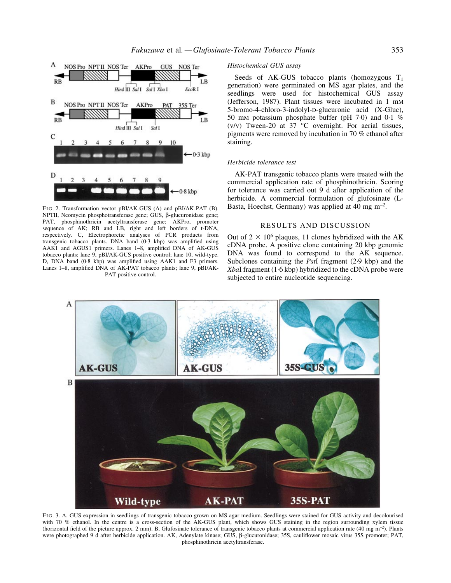

F<sub>IG</sub> 2. Transformation vector pBI/AK-GUS (A) and pBI/AK-PAT (B). NPTII, Neomycin phosphotransferase gene; GUS, β-glucuronidase gene; PAT, phosphinothricin acetyltransferase gene; AKPro, promoter sequence of AK; RB and LB, right and left borders of t-DNA, respectively. C, Electrophoretic analyses of PCR products from transgenic tobacco plants. DNA band (0.3 kbp) was amplified using AAK1 and AGUS1 primers. Lanes 1-8, amplified DNA of AK-GUS tobacco plants; lane 9, pBI/AK-GUS positive control; lane 10, wild-type. D, DNA band (0.8 kbp) was amplified using AAK1 and F3 primers. Lanes 1-8, amplified DNA of AK-PAT tobacco plants; lane 9, pBI/AK-PAT positive control.

### Histochemical GUS assay

Seeds of AK-GUS tobacco plants (homozygous  $T_1$ generation) were germinated on MS agar plates, and the seedlings were used for histochemical GUS assay (Jefferson, 1987). Plant tissues were incubated in 1 mM 5-bromo-4-chloro-3-indolyl-D-glucuronic acid (X-Gluc), 50 mM potassium phosphate buffer (pH  $7·0$ ) and  $0·1$  % (v/v) Tween-20 at 37  $\degree$ C overnight. For aerial tissues, pigments were removed by incubation in 70 % ethanol after staining.

#### Herbicide tolerance test

AK-PAT transgenic tobacco plants were treated with the commercial application rate of phosphinothricin. Scoring for tolerance was carried out 9 d after application of the herbicide. A commercial formulation of glufosinate (L-Basta, Hoechst, Germany) was applied at  $40 \text{ mg m}^{-2}$ .

#### RESULTS AND DISCUSSION

Out of  $2 \times 10^6$  plaques, 11 clones hybridized with the AK cDNA probe. A positive clone containing 20 kbp genomic DNA was found to correspond to the AK sequence. Subclones containing the *PstI* fragment  $(2.9 \text{ kbp})$  and the XbaI fragment  $(1.6$  kbp) hybridized to the cDNA probe were subjected to entire nucleotide sequencing.



FIG. 3. A, GUS expression in seedlings of transgenic tobacco grown on MS agar medium. Seedlings were stained for GUS activity and decolourised with 70 % ethanol. In the centre is a cross-section of the AK-GUS plant, which shows GUS staining in the region surrounding xylem tissue (horizontal field of the picture approx. 2 mm). B, Glufosinate tolerance of transgenic tobacco plants at commercial application rate (40 mg m<sup>-2</sup>). Plants were photographed 9 d after herbicide application. AK, Adenylate kinase; GUS, β-glucuronidase; 35S, cauliflower mosaic virus 35S promoter; PAT, phosphinothricin acetyltransferase.